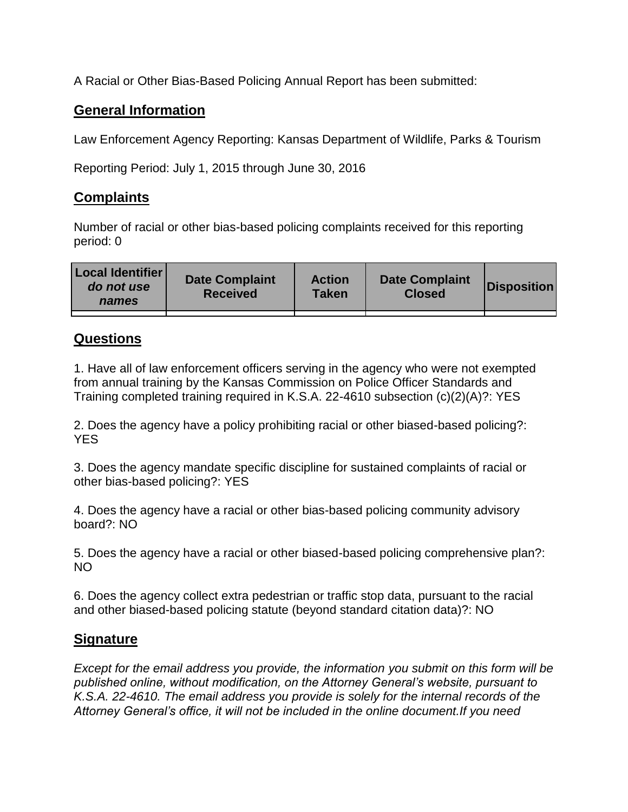A Racial or Other Bias-Based Policing Annual Report has been submitted:

## **General Information**

Law Enforcement Agency Reporting: Kansas Department of Wildlife, Parks & Tourism

Reporting Period: July 1, 2015 through June 30, 2016

## **Complaints**

Number of racial or other bias-based policing complaints received for this reporting period: 0

| <b>Local Identifier</b><br>do not use<br>names | <b>Date Complaint</b><br><b>Received</b> | <b>Action</b><br><b>Taken</b> | <b>Date Complaint</b><br><b>Closed</b> | Disposition |
|------------------------------------------------|------------------------------------------|-------------------------------|----------------------------------------|-------------|
|                                                |                                          |                               |                                        |             |

## **Questions**

1. Have all of law enforcement officers serving in the agency who were not exempted from annual training by the Kansas Commission on Police Officer Standards and Training completed training required in K.S.A. 22-4610 subsection (c)(2)(A)?: YES

2. Does the agency have a policy prohibiting racial or other biased-based policing?: YES

3. Does the agency mandate specific discipline for sustained complaints of racial or other bias-based policing?: YES

4. Does the agency have a racial or other bias-based policing community advisory board?: NO

5. Does the agency have a racial or other biased-based policing comprehensive plan?: NO

6. Does the agency collect extra pedestrian or traffic stop data, pursuant to the racial and other biased-based policing statute (beyond standard citation data)?: NO

## **Signature**

*Except for the email address you provide, the information you submit on this form will be published online, without modification, on the Attorney General's website, pursuant to K.S.A. 22-4610. The email address you provide is solely for the internal records of the Attorney General's office, it will not be included in the online document.If you need*